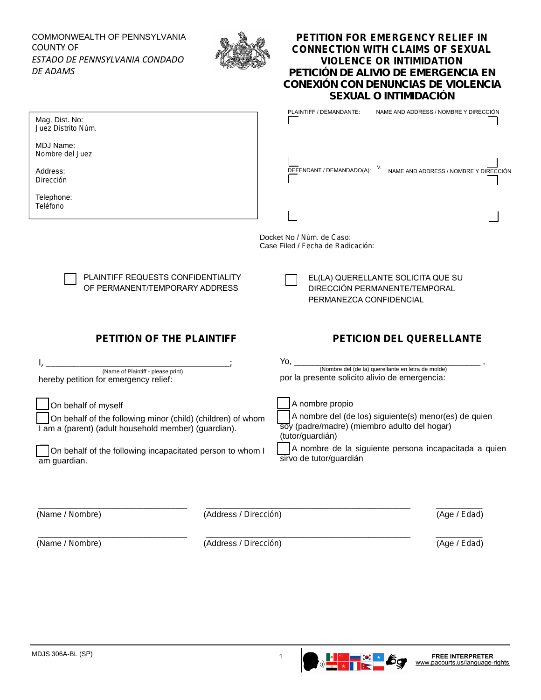## COMMONWEALTH OF PENNSYLVANIA COUNTY OF *ESTADO DE PENNSYLVANIA CONDADO DE ADAMS*



## **PETITION FOR EMERGENCY RELIEF IN CONNECTION WITH CLAIMS OF SEXUAL VIOLENCE OR INTIMIDATION** *PETICIÓN DE ALIVIO DE EMERGENCIA EN CONEXIÓN CON DENUNCIAS DE VIOLENCIA SEXUAL O INTIMIDACIÓN*

| Mag. Dist. No:<br>Juez Distrito Núm.                                                                                                       | NAME AND ADDRESS / NOMBRE Y DIRECCIÓN<br>PLAINTIFF / DEMANDANTE:                                                                             |  |
|--------------------------------------------------------------------------------------------------------------------------------------------|----------------------------------------------------------------------------------------------------------------------------------------------|--|
| <b>MDJ Name:</b><br>Nombre del Juez                                                                                                        |                                                                                                                                              |  |
| Address:<br>Dirección                                                                                                                      | DEFENDANT / DEMANDADO(A): V. NAME AND ADDRESS / NOMBRE Y DIRECCIÓN                                                                           |  |
| Telephone:<br>Teléfono                                                                                                                     |                                                                                                                                              |  |
| Docket No / Núm. de Caso:<br>Case Filed / Fecha de Radicación:                                                                             |                                                                                                                                              |  |
| PLAINTIFF REQUESTS CONFIDENTIALITY<br>OF PERMANENT/TEMPORARY ADDRESS                                                                       | EL(LA) QUERELLANTE SOLICITA QUE SU<br>DIRECCIÓN PERMANENTE/TEMPORAL<br>PERMANEZCA CONFIDENCIAL                                               |  |
| PETITION OF THE PLAINTIFF<br>PETICION DEL QUERELLANTE                                                                                      |                                                                                                                                              |  |
|                                                                                                                                            |                                                                                                                                              |  |
| (Name of Plaintiff - please print)<br>hereby petition for emergency relief:                                                                | Yo, $\_\_\_\_\_\_\_\_\$<br>(Nombre del (de la) querellante en letra de molde)<br>por la presente solicito alivio de emergencia:              |  |
| On behalf of myself<br>On behalf of the following minor (child) (children) of whom<br>I am a (parent) (adult household member) (guardian). | A nombre propio<br>A nombre del (de los) siguiente(s) menor(es) de quien<br>soy (padre/madre) (miembro adulto del hogar)<br>(tutor/guardián) |  |
| On behalf of the following incapacitated person to whom I<br>am guardian.                                                                  | A nombre de la siguiente persona incapacitada a quien<br>sirvo de tutor/guardián                                                             |  |
|                                                                                                                                            |                                                                                                                                              |  |
| (Name / Nombre)<br>(Address / Dirección)                                                                                                   | (Age / Edad)                                                                                                                                 |  |